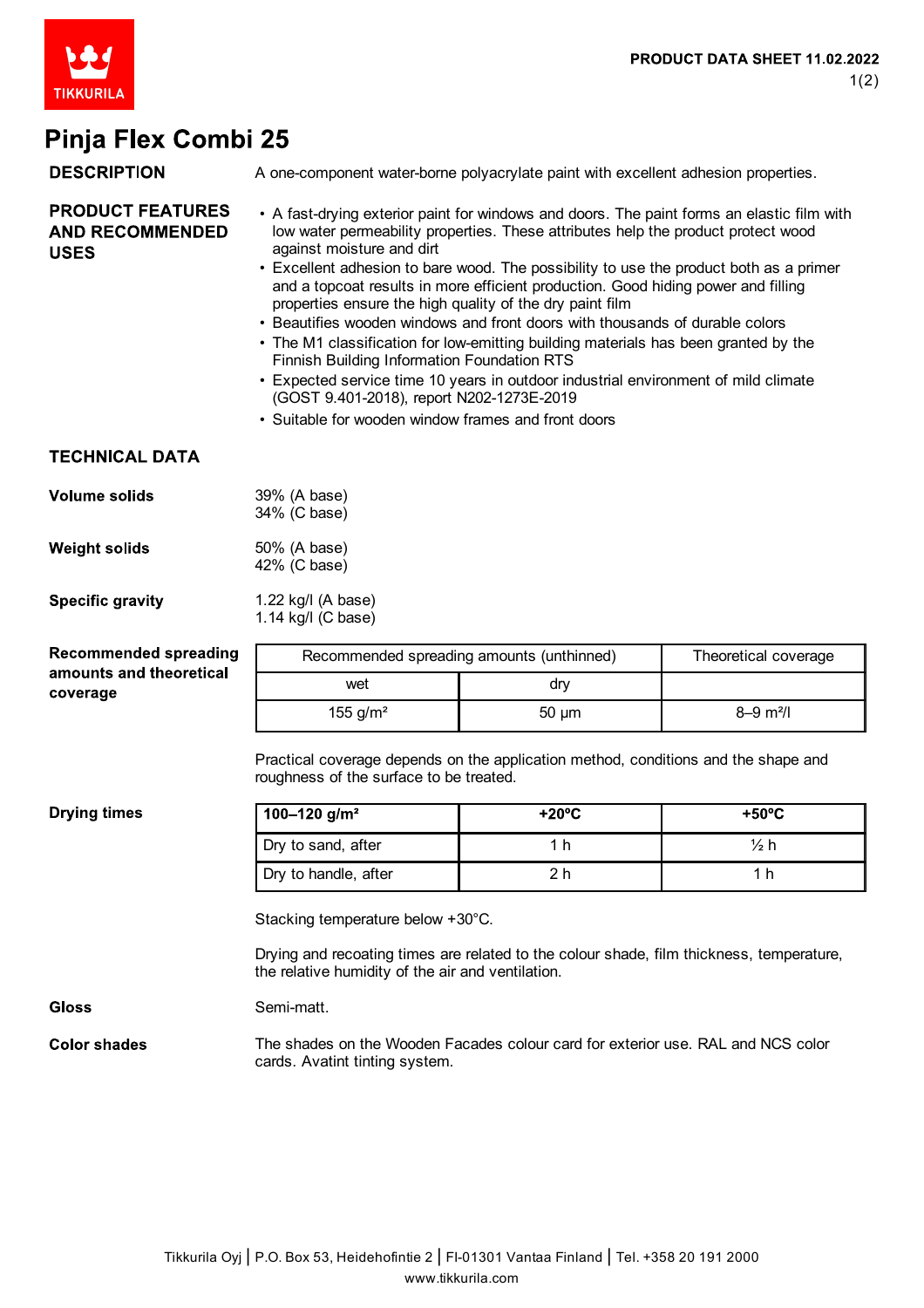

## Dinia Elev Combi 25

| Pinja Fiex Conibi Zə                                                |                                                                                                                                                                                                                                                                                                                                                                                                                                                                                                                                                                                                                                                                                                                                                                                                                                                                         |                                                                                          |                           |  |
|---------------------------------------------------------------------|-------------------------------------------------------------------------------------------------------------------------------------------------------------------------------------------------------------------------------------------------------------------------------------------------------------------------------------------------------------------------------------------------------------------------------------------------------------------------------------------------------------------------------------------------------------------------------------------------------------------------------------------------------------------------------------------------------------------------------------------------------------------------------------------------------------------------------------------------------------------------|------------------------------------------------------------------------------------------|---------------------------|--|
| <b>DESCRIPTION</b>                                                  |                                                                                                                                                                                                                                                                                                                                                                                                                                                                                                                                                                                                                                                                                                                                                                                                                                                                         | A one-component water-borne polyacrylate paint with excellent adhesion properties.       |                           |  |
| <b>PRODUCT FEATURES</b><br><b>AND RECOMMENDED</b><br><b>USES</b>    | • A fast-drying exterior paint for windows and doors. The paint forms an elastic film with<br>low water permeability properties. These attributes help the product protect wood<br>against moisture and dirt<br>• Excellent adhesion to bare wood. The possibility to use the product both as a primer<br>and a topcoat results in more efficient production. Good hiding power and filling<br>properties ensure the high quality of the dry paint film<br>• Beautifies wooden windows and front doors with thousands of durable colors<br>• The M1 classification for low-emitting building materials has been granted by the<br>Finnish Building Information Foundation RTS<br>• Expected service time 10 years in outdoor industrial environment of mild climate<br>(GOST 9.401-2018), report N202-1273E-2019<br>• Suitable for wooden window frames and front doors |                                                                                          |                           |  |
| <b>TECHNICAL DATA</b>                                               |                                                                                                                                                                                                                                                                                                                                                                                                                                                                                                                                                                                                                                                                                                                                                                                                                                                                         |                                                                                          |                           |  |
| <b>Volume solids</b>                                                | 39% (A base)<br>34% (C base)                                                                                                                                                                                                                                                                                                                                                                                                                                                                                                                                                                                                                                                                                                                                                                                                                                            |                                                                                          |                           |  |
| <b>Weight solids</b>                                                | 50% (A base)<br>42% (C base)                                                                                                                                                                                                                                                                                                                                                                                                                                                                                                                                                                                                                                                                                                                                                                                                                                            |                                                                                          |                           |  |
| <b>Specific gravity</b>                                             | 1.22 kg/l (A base)<br>1.14 kg/l (C base)                                                                                                                                                                                                                                                                                                                                                                                                                                                                                                                                                                                                                                                                                                                                                                                                                                |                                                                                          |                           |  |
| <b>Recommended spreading</b><br>amounts and theoretical<br>coverage | Recommended spreading amounts (unthinned)<br>Theoretical coverage                                                                                                                                                                                                                                                                                                                                                                                                                                                                                                                                                                                                                                                                                                                                                                                                       |                                                                                          |                           |  |
|                                                                     | wet                                                                                                                                                                                                                                                                                                                                                                                                                                                                                                                                                                                                                                                                                                                                                                                                                                                                     | dry                                                                                      |                           |  |
|                                                                     | 155 $g/m^2$                                                                                                                                                                                                                                                                                                                                                                                                                                                                                                                                                                                                                                                                                                                                                                                                                                                             | $50 \mu m$                                                                               | $8 - 9$ m <sup>2</sup> /l |  |
|                                                                     | Practical coverage depends on the application method, conditions and the shape and<br>roughness of the surface to be treated.                                                                                                                                                                                                                                                                                                                                                                                                                                                                                                                                                                                                                                                                                                                                           |                                                                                          |                           |  |
| <b>Drying times</b>                                                 | $\frac{100 - 120 \text{ g/m}^2}{ }$                                                                                                                                                                                                                                                                                                                                                                                                                                                                                                                                                                                                                                                                                                                                                                                                                                     | $+20^{\circ}$ C                                                                          | $+50^{\circ}$ C           |  |
|                                                                     | Dry to sand, after                                                                                                                                                                                                                                                                                                                                                                                                                                                                                                                                                                                                                                                                                                                                                                                                                                                      | 1 <sub>h</sub>                                                                           | $\frac{1}{2}h$            |  |
|                                                                     | Dry to handle, after                                                                                                                                                                                                                                                                                                                                                                                                                                                                                                                                                                                                                                                                                                                                                                                                                                                    | 2 <sub>h</sub>                                                                           | 1 <sub>h</sub>            |  |
|                                                                     | Stacking temperature below +30°C.<br>the relative humidity of the air and ventilation.                                                                                                                                                                                                                                                                                                                                                                                                                                                                                                                                                                                                                                                                                                                                                                                  | Drying and recoating times are related to the colour shade, film thickness, temperature, |                           |  |
| <b>Gloss</b>                                                        | Semi-matt.                                                                                                                                                                                                                                                                                                                                                                                                                                                                                                                                                                                                                                                                                                                                                                                                                                                              |                                                                                          |                           |  |
| <b>Color shades</b>                                                 | cards. Avatint tinting system.                                                                                                                                                                                                                                                                                                                                                                                                                                                                                                                                                                                                                                                                                                                                                                                                                                          | The shades on the Wooden Facades colour card for exterior use. RAL and NCS color         |                           |  |